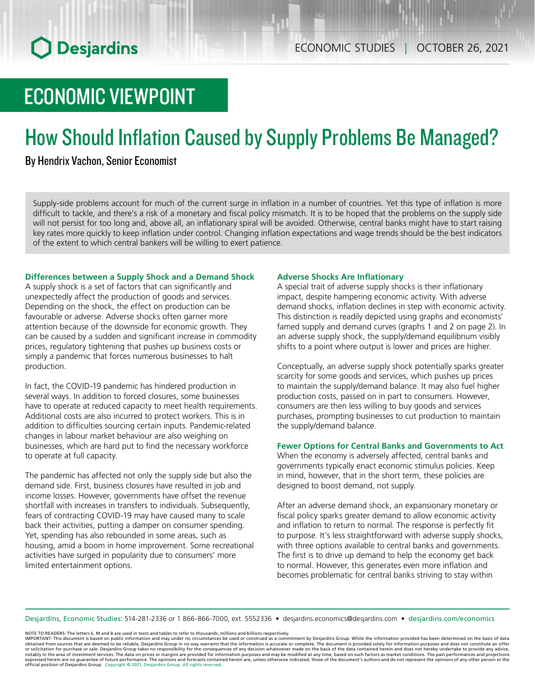# ECONOMIC VIEWPOINT

# How Should Inflation Caused by Supply Problems Be Managed?

### By Hendrix Vachon, Senior Economist

Supply-side problems account for much of the current surge in inflation in a number of countries. Yet this type of inflation is more difficult to tackle, and there's a risk of a monetary and fiscal policy mismatch. It is to be hoped that the problems on the supply side will not persist for too long and, above all, an inflationary spiral will be avoided. Otherwise, central banks might have to start raising key rates more quickly to keep inflation under control. Changing inflation expectations and wage trends should be the best indicators of the extent to which central bankers will be willing to exert patience.

### **Differences between a Supply Shock and a Demand Shock**

A supply shock is a set of factors that can significantly and unexpectedly affect the production of goods and services. Depending on the shock, the effect on production can be favourable or adverse. Adverse shocks often garner more attention because of the downside for economic growth. They can be caused by a sudden and significant increase in commodity prices, regulatory tightening that pushes up business costs or simply a pandemic that forces numerous businesses to halt production.

In fact, the COVID‑19 pandemic has hindered production in several ways. In addition to forced closures, some businesses have to operate at reduced capacity to meet health requirements. Additional costs are also incurred to protect workers. This is in addition to difficulties sourcing certain inputs. Pandemic-related changes in labour market behaviour are also weighing on businesses, which are hard put to find the necessary workforce to operate at full capacity.

The pandemic has affected not only the supply side but also the demand side. First, business closures have resulted in job and income losses. However, governments have offset the revenue shortfall with increases in transfers to individuals. Subsequently, fears of contracting COVID‑19 may have caused many to scale back their activities, putting a damper on consumer spending. Yet, spending has also rebounded in some areas, such as housing, amid a boom in home improvement. Some recreational activities have surged in popularity due to consumers' more limited entertainment options.

### **Adverse Shocks Are Inflationary**

A special trait of adverse supply shocks is their inflationary impact, despite hampering economic activity. With adverse demand shocks, inflation declines in step with economic activity. This distinction is readily depicted using graphs and economists' famed supply and demand curves (graphs 1 and 2 on page 2). In an adverse supply shock, the supply/demand equilibrium visibly shifts to a point where output is lower and prices are higher.

Conceptually, an adverse supply shock potentially sparks greater scarcity for some goods and services, which pushes up prices to maintain the supply/demand balance. It may also fuel higher production costs, passed on in part to consumers. However, consumers are then less willing to buy goods and services purchases, prompting businesses to cut production to maintain the supply/demand balance.

### **Fewer Options for Central Banks and Governments to Act**

When the economy is adversely affected, central banks and governments typically enact economic stimulus policies. Keep in mind, however, that in the short term, these policies are designed to boost demand, not supply.

After an adverse demand shock, an expansionary monetary or fiscal policy sparks greater demand to allow economic activity and inflation to return to normal. The response is perfectly fit to purpose. It's less straightforward with adverse supply shocks, with three options available to central banks and governments. The first is to drive up demand to help the economy get back to normal. However, this generates even more inflation and becomes problematic for central banks striving to stay within

Desjardins, Economic Studies: 514‑281‑2336 or 1 866‑866‑7000, ext. 5552336 • desjardins.economics@desjardins.com • [desjardins.com/economics](http://desjardins.com/economics)

NOTE TO READERS: The letters k, M and B are used in texts and tables to refer to thousands, millions and billions respectively.

IMPORTANT: This document is based on public information and may under no circumstances be used or construed as a commitment by Desjardins Group. While the information provided has been determined on the basis of data obtai expressed herein are no guarantee of future performance. The opinions and forecasts contained herein are, unless otherwise indicated, those of the document's authors and do not represent the opinions of any other person or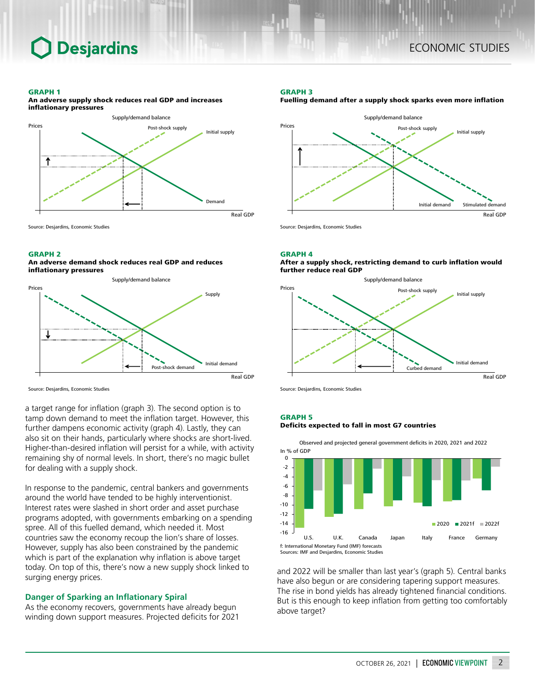### **Desjardins**

### ECONOMIC STUDIES

### GRAPH 1

An adverse supply shock reduces real GDP and increases inflationary pressures



Source: Desjardins, Economic Studies

### GRAPH 2

An adverse demand shock reduces real GDP and reduces inflationary pressures



Source: Desjardins, Economic Studies

a target range for inflation (graph 3). The second option is to tamp down demand to meet the inflation target. However, this further dampens economic activity (graph 4). Lastly, they can also sit on their hands, particularly where shocks are short-lived. Higher-than-desired inflation will persist for a while, with activity remaining shy of normal levels. In short, there's no magic bullet for dealing with a supply shock.

In response to the pandemic, central bankers and governments around the world have tended to be highly interventionist. Interest rates were slashed in short order and asset purchase programs adopted, with governments embarking on a spending spree. All of this fuelled demand, which needed it. Most countries saw the economy recoup the lion's share of losses. However, supply has also been constrained by the pandemic which is part of the explanation why inflation is above target today. On top of this, there's now a new supply shock linked to surging energy prices.

### **Danger of Sparking an Inflationary Spiral**

As the economy recovers, governments have already begun winding down support measures. Projected deficits for 2021

### GRAPH 3





Source: Desjardins, Economic Studies

### GRAPH 4

After a supply shock, restricting demand to curb inflation would further reduce real GDP



Source: Desjardins, Economic Studies

### GRAPH 5

### Deficits expected to fall in most G7 countries

Observed and projected general government deficits in 2020, 2021 and 2022 In % of GDP



and 2022 will be smaller than last year's (graph 5). Central banks have also begun or are considering tapering support measures. The rise in bond yields has already tightened financial conditions. But is this enough to keep inflation from getting too comfortably above target?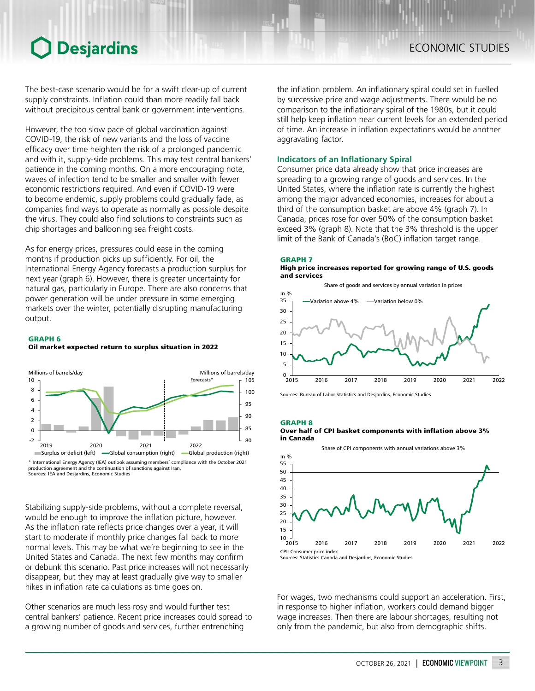### **O** Desjardins

The best-case scenario would be for a swift clear-up of current supply constraints. Inflation could than more readily fall back without precipitous central bank or government interventions.

However, the too slow pace of global vaccination against COVID‑19, the risk of new variants and the loss of vaccine efficacy over time heighten the risk of a prolonged pandemic and with it, supply-side problems. This may test central bankers' patience in the coming months. On a more encouraging note, waves of infection tend to be smaller and smaller with fewer economic restrictions required. And even if COVID‑19 were to become endemic, supply problems could gradually fade, as companies find ways to operate as normally as possible despite the virus. They could also find solutions to constraints such as chip shortages and ballooning sea freight costs.

As for energy prices, pressures could ease in the coming months if production picks up sufficiently. For oil, the International Energy Agency forecasts a production surplus for next year (graph 6). However, there is greater uncertainty for natural gas, particularly in Europe. There are also concerns that power generation will be under pressure in some emerging markets over the winter, potentially disrupting manufacturing output.

### GRAPH 6 Oil market expected return to surplus situation in 2022



production agreement and the continuation of sanctions against Iran. Sources: IEA and Desjardins, Economic Studies

Stabilizing supply-side problems, without a complete reversal, would be enough to improve the inflation picture, however. As the inflation rate reflects price changes over a year, it will start to moderate if monthly price changes fall back to more normal levels. This may be what we're beginning to see in the United States and Canada. The next few months may confirm or debunk this scenario. Past price increases will not necessarily disappear, but they may at least gradually give way to smaller hikes in inflation rate calculations as time goes on.

Other scenarios are much less rosy and would further test central bankers' patience. Recent price increases could spread to a growing number of goods and services, further entrenching

the inflation problem. An inflationary spiral could set in fuelled by successive price and wage adjustments. There would be no comparison to the inflationary spiral of the 1980s, but it could still help keep inflation near current levels for an extended period of time. An increase in inflation expectations would be another aggravating factor.

### **Indicators of an Inflationary Spiral**

Consumer price data already show that price increases are spreading to a growing range of goods and services. In the United States, where the inflation rate is currently the highest among the major advanced economies, increases for about a third of the consumption basket are above 4% (graph 7). In Canada, prices rose for over 50% of the consumption basket exceed 3% (graph 8). Note that the 3% threshold is the upper limit of the Bank of Canada's (BoC) inflation target range.





Sources: Bureau of Labor Statistics and Desjardins, Economic Studies

### GRAPH 8





For wages, two mechanisms could support an acceleration. First, in response to higher inflation, workers could demand bigger wage increases. Then there are labour shortages, resulting not only from the pandemic, but also from demographic shifts.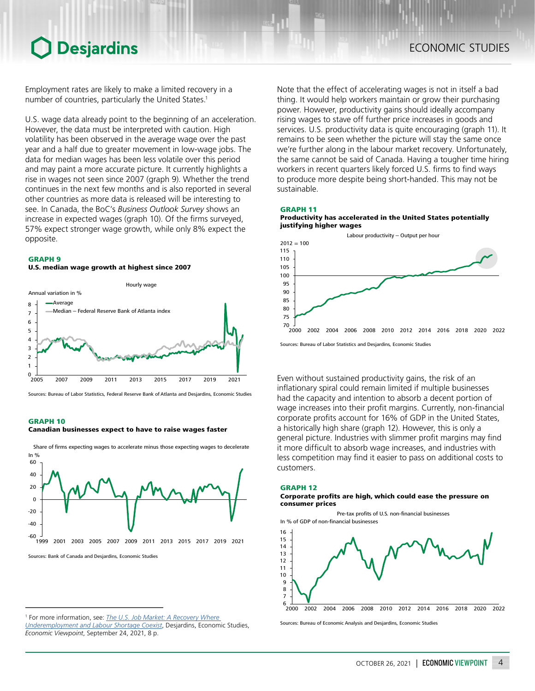### Desjardins

Employment rates are likely to make a limited recovery in a number of countries, particularly the United States.<sup>1</sup>

U.S. wage data already point to the beginning of an acceleration. However, the data must be interpreted with caution. High volatility has been observed in the average wage over the past year and a half due to greater movement in low-wage jobs. The data for median wages has been less volatile over this period and may paint a more accurate picture. It currently highlights a rise in wages not seen since 2007 (graph 9). Whether the trend continues in the next few months and is also reported in several other countries as more data is released will be interesting to see. In Canada, the BoC's *Business Outlook Survey* shows an increase in expected wages (graph 10). Of the firms surveyed, 57% expect stronger wage growth, while only 8% expect the opposite.

### GRAPH 9

### U.S. median wage growth at highest since 2007



Sources: Bureau of Labor Statistics, Federal Reserve Bank of Atlanta and Desjardins, Economic Studies

### GRAPH 10

#### Canadian businesses expect to have to raise wages faster



In  $\frac{0}{6}$ Share of firms expecting wages to accelerate minus those expecting wages to decelerate

Note that the effect of accelerating wages is not in itself a bad thing. It would help workers maintain or grow their purchasing power. However, productivity gains should ideally accompany rising wages to stave off further price increases in goods and services. U.S. productivity data is quite encouraging (graph 11). It remains to be seen whether the picture will stay the same once we're further along in the labour market recovery. Unfortunately, the same cannot be said of Canada. Having a tougher time hiring workers in recent quarters likely forced U.S. firms to find ways to produce more despite being short-handed. This may not be sustainable.

### GRAPH 11





Sources: Bureau of Labor Statistics and Desjardins, Economic Studies

Even without sustained productivity gains, the risk of an inflationary spiral could remain limited if multiple businesses had the capacity and intention to absorb a decent portion of wage increases into their profit margins. Currently, non-financial corporate profits account for 16% of GDP in the United States, a historically high share (graph 12). However, this is only a general picture. Industries with slimmer profit margins may find it more difficult to absorb wage increases, and industries with less competition may find it easier to pass on additional costs to customers.

### GRAPH 12

#### Corporate profits are high, which could ease the pressure on consumer prices

Pre-tax profits of U.S. non-financial businesses In % of GDP of non-financial businesses





Sources: Bureau of Economic Analysis and Desjardins, Economic Studies

<sup>1</sup> For more information, see: *[The U.S. Job Market: A Recovery Where](https://www.desjardins.com/ressources/pdf/pv210924-e.pdf?resVer=1632491196000)  [Underemployment and Labour Shortage Coexist](https://www.desjardins.com/ressources/pdf/pv210924-e.pdf?resVer=1632491196000)*, Desjardins, Economic Studies, *Economic Viewpoint*, September 24, 2021, 8 p.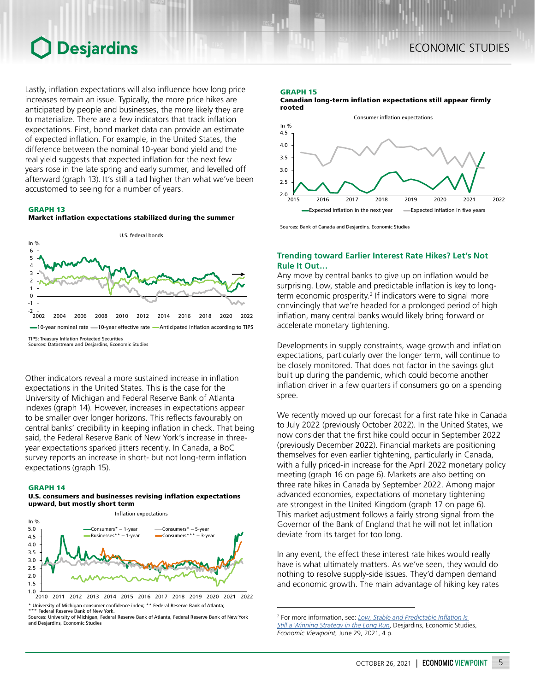## **O** Desjardins

Lastly, inflation expectations will also influence how long price increases remain an issue. Typically, the more price hikes are anticipated by people and businesses, the more likely they are to materialize. There are a few indicators that track inflation expectations. First, bond market data can provide an estimate of expected inflation. For example, in the United States, the difference between the nominal 10‑year bond yield and the real yield suggests that expected inflation for the next few years rose in the late spring and early summer, and levelled off afterward (graph 13). It's still a tad higher than what we've been accustomed to seeing for a number of years.

### GRAPH 13





Other indicators reveal a more sustained increase in inflation expectations in the United States. This is the case for the University of Michigan and Federal Reserve Bank of Atlanta indexes (graph 14). However, increases in expectations appear to be smaller over longer horizons. This reflects favourably on central banks' credibility in keeping inflation in check. That being said, the Federal Reserve Bank of New York's increase in threeyear expectations sparked jitters recently. In Canada, a BoC survey reports an increase in short- but not long-term inflation expectations (graph 15).

### GRAPH 14

### U.S. consumers and businesses revising inflation expectations upward, but mostly short term

Inflation expectations



\* University of Michigan consumer confidence index; \*\* Federal Reserve Bank of Atlanta; \*\*\* Federal Reserve Bank of New York. 2010 2011 2012 2013 2014 2015 2016 2017 2018 2019 2020 2021 2022

Sources: University of Michigan, Federal Reserve Bank of Atlanta, Federal Reserve Bank of New York and Desjardins, Economic Studies

### GRAPH 15

Canadian long-term inflation expectations still appear firmly rooted



Sources: Bank of Canada and Desjardins, Economic Studies

### **Trending toward Earlier Interest Rate Hikes? Let's Not Rule It Out…**

Any move by central banks to give up on inflation would be surprising. Low, stable and predictable inflation is key to longterm economic prosperity.<sup>2</sup> If indicators were to signal more convincingly that we're headed for a prolonged period of high inflation, many central banks would likely bring forward or accelerate monetary tightening.

Developments in supply constraints, wage growth and inflation expectations, particularly over the longer term, will continue to be closely monitored. That does not factor in the savings glut built up during the pandemic, which could become another inflation driver in a few quarters if consumers go on a spending spree.

We recently moved up our forecast for a first rate hike in Canada to July 2022 (previously October 2022). In the United States, we now consider that the first hike could occur in September 2022 (previously December 2022). Financial markets are positioning themselves for even earlier tightening, particularly in Canada, with a fully priced-in increase for the April 2022 monetary policy meeting (graph 16 on page 6). Markets are also betting on three rate hikes in Canada by September 2022. Among major advanced economies, expectations of monetary tightening are strongest in the United Kingdom (graph 17 on page 6). This market adjustment follows a fairly strong signal from the Governor of the Bank of England that he will not let inflation deviate from its target for too long.

In any event, the effect these interest rate hikes would really have is what ultimately matters. As we've seen, they would do nothing to resolve supply-side issues. They'd dampen demand and economic growth. The main advantage of hiking key rates

<sup>2</sup> For more information, see: *[Low, Stable and Predictable Inflation Is](https://www.desjardins.com/ressources/pdf/pv210629-e.pdf?resVer=1624973023000)  [Still a Winning Strategy in the Long Run](https://www.desjardins.com/ressources/pdf/pv210629-e.pdf?resVer=1624973023000)*, Desjardins, Economic Studies, *Economic Viewpoint*, June 29, 2021, 4 p.